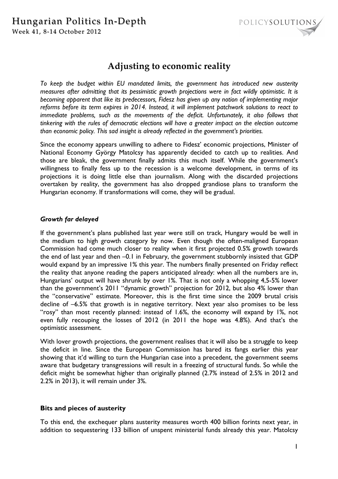

# **Adjusting to economic reality**

*To keep the budget within EU mandated limits, the government has introduced new austerity measures after admitting that its pessimistic growth projections were in fact wildly optimistic. It is becoming apparent that like its predecessors, Fidesz has given up any notion of implementing major reforms before its term expires in 2014. Instead, it will implement patchwork solutions to react to*  immediate problems, such as the movements of the deficit. Unfortunately, it also follows that *tinkering with the rules of democratic elections will have a greater impact on the election outcome than economic policy. This sad insight is already reflected in the government's priorities.* 

Since the economy appears unwilling to adhere to Fidesz' economic projections, Minister of National Economy György Matolcsy has apparently decided to catch up to realities. And those are bleak, the government finally admits this much itself. While the government's willingness to finally fess up to the recession is a welcome development, in terms of its projections it is doing little else than journalism. Along with the discarded projections overtaken by reality, the government has also dropped grandiose plans to transform the Hungarian economy. If transformations will come, they will be gradual.

## *Growth far delayed*

If the government's plans published last year were still on track, Hungary would be well in the medium to high growth category by now. Even though the often-maligned European Commission had come much closer to reality when it first projected 0.5% growth towards the end of last year and then -0.1 in February, the government stubbornly insisted that GDP would expand by an impressive 1% this year. The numbers finally presented on Friday reflect the reality that anyone reading the papers anticipated already: when all the numbers are in, Hungarians' output will have shrunk by over 1%. That is not only a whopping 4,5-5% lower than the government's 2011 "dynamic growth" projection for 2012, but also 4% lower than the "conservative" estimate. Moreover, this is the first time since the 2009 brutal crisis decline of –6.5% that growth is in negative territory. Next year also promises to be less "rosy" than most recently planned: instead of 1.6%, the economy will expand by 1%, not even fully recouping the losses of 2012 (in 2011 the hope was 4.8%). And that's the optimistic assessment.

With lover growth projections, the government realises that it will also be a struggle to keep the deficit in line. Since the European Commission has bared its fangs earlier this year showing that it'd willing to turn the Hungarian case into a precedent, the government seems aware that budgetary transgressions will result in a freezing of structural funds. So while the deficit might be somewhat higher than originally planned (2.7% instead of 2.5% in 2012 and 2.2% in 2013), it will remain under 3%.

### **Bits and pieces of austerity**

To this end, the exchequer plans austerity measures worth 400 billion forints next year, in addition to sequestering 133 billion of unspent ministerial funds already this year. Matolcsy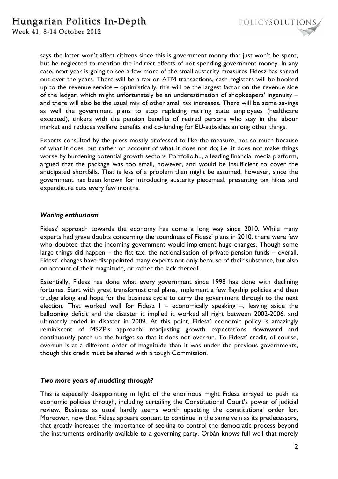

says the latter won't affect citizens since this is government money that just won't be spent, but he neglected to mention the indirect effects of not spending government money. In any case, next year is going to see a few more of the small austerity measures Fidesz has spread out over the years. There will be a tax on ATM transactions, cash registers will be hooked up to the revenue service – optimistically, this will be the largest factor on the revenue side of the ledger, which might unfortunately be an underestimation of shopkeepers' ingenuity – and there will also be the usual mix of other small tax increases. There will be some savings as well the government plans to stop replacing retiring state employees (healthcare excepted), tinkers with the pension benefits of retired persons who stay in the labour market and reduces welfare benefits and co-funding for EU-subsidies among other things.

Experts consulted by the press mostly professed to like the measure, not so much because of what it does, but rather on account of what it does not do; i.e. it does not make things worse by burdening potential growth sectors. Portfolio.hu, a leading financial media platform, argued that the package was too small, however, and would be insufficient to cover the anticipated shortfalls. That is less of a problem than might be assumed, however, since the government has been known for introducing austerity piecemeal, presenting tax hikes and expenditure cuts every few months.

#### *Waning enthusiasm*

Fidesz' approach towards the economy has come a long way since 2010. While many experts had grave doubts concerning the soundness of Fidesz' plans in 2010, there were few who doubted that the incoming government would implement huge changes. Though some large things did happen – the flat tax, the nationalisation of private pension funds – overall, Fidesz' changes have disappointed many experts not only because of their substance, but also on account of their magnitude, or rather the lack thereof.

Essentially, Fidesz has done what every government since 1998 has done with declining fortunes. Start with great transformational plans, implement a few flagship policies and then trudge along and hope for the business cycle to carry the government through to the next election. That worked well for Fidesz  $I -$  economically speaking  $-$ , leaving aside the ballooning deficit and the disaster it implied it worked all right between 2002-2006, and ultimately ended in disaster in 2009. At this point, Fidesz' economic policy is amazingly reminiscent of MSZP's approach: readjusting growth expectations downward and continuously patch up the budget so that it does not overrun. To Fidesz' credit, of course, overrun is at a different order of magnitude than it was under the previous governments, though this credit must be shared with a tough Commission.

### *Two more years of muddling through?*

This is especially disappointing in light of the enormous might Fidesz arrayed to push its economic policies through, including curtailing the Constitutional Court's power of judicial review. Business as usual hardly seems worth upsetting the constitutional order for. Moreover, now that Fidesz appears content to continue in the same vein as its predecessors, that greatly increases the importance of seeking to control the democratic process beyond the instruments ordinarily available to a governing party. Orbán knows full well that merely